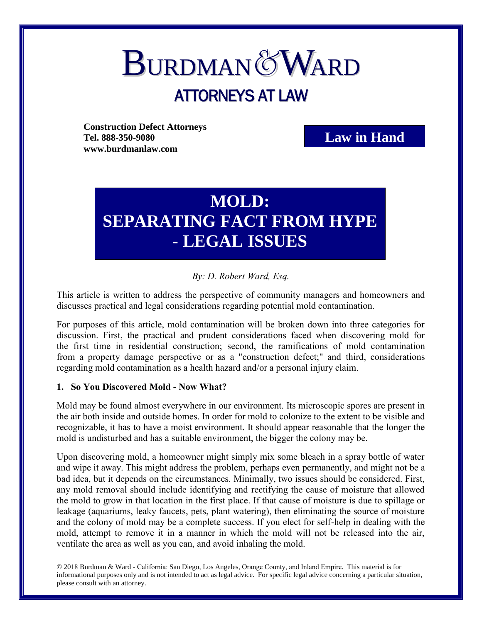# **BURDMAN&WARD** ATTORNEYS AT LAW

**Construction Defect Attorneys Tel. 888-350-9080 www.burdmanlaw.com**

**Law in Hand**

## **MOLD: SEPARATING FACT FROM HYPE - LEGAL ISSUES**

### *By: D. Robert Ward, Esq.*

This article is written to address the perspective of community managers and homeowners and discusses practical and legal considerations regarding potential mold contamination.

For purposes of this article, mold contamination will be broken down into three categories for discussion. First, the practical and prudent considerations faced when discovering mold for the first time in residential construction; second, the ramifications of mold contamination from a property damage perspective or as a "construction defect;" and third, considerations regarding mold contamination as a health hazard and/or a personal injury claim.

#### **1. So You Discovered Mold - Now What?**

Mold may be found almost everywhere in our environment. Its microscopic spores are present in the air both inside and outside homes. In order for mold to colonize to the extent to be visible and recognizable, it has to have a moist environment. It should appear reasonable that the longer the mold is undisturbed and has a suitable environment, the bigger the colony may be.

Upon discovering mold, a homeowner might simply mix some bleach in a spray bottle of water and wipe it away. This might address the problem, perhaps even permanently, and might not be a bad idea, but it depends on the circumstances. Minimally, two issues should be considered. First, any mold removal should include identifying and rectifying the cause of moisture that allowed the mold to grow in that location in the first place. If that cause of moisture is due to spillage or leakage (aquariums, leaky faucets, pets, plant watering), then eliminating the source of moisture and the colony of mold may be a complete success. If you elect for self-help in dealing with the mold, attempt to remove it in a manner in which the mold will not be released into the air, ventilate the area as well as you can, and avoid inhaling the mold.

© 2018 Burdman & Ward - California: San Diego, Los Angeles, Orange County, and Inland Empire. This material is for informational purposes only and is not intended to act as legal advice. For specific legal advice concerning a particular situation, please consult with an attorney.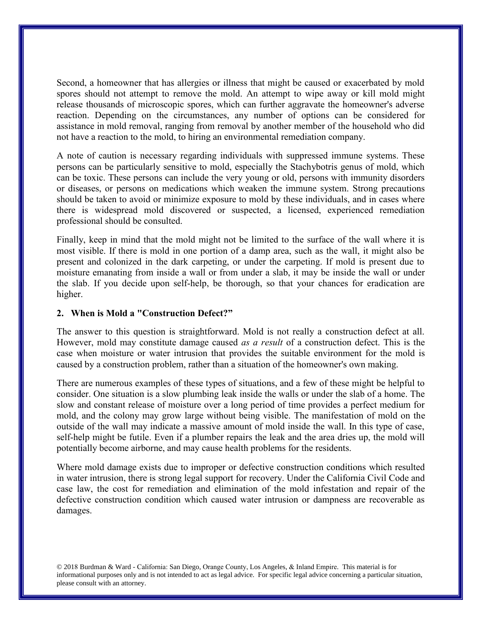Second, a homeowner that has allergies or illness that might be caused or exacerbated by mold spores should not attempt to remove the mold. An attempt to wipe away or kill mold might release thousands of microscopic spores, which can further aggravate the homeowner's adverse reaction. Depending on the circumstances, any number of options can be considered for assistance in mold removal, ranging from removal by another member of the household who did not have a reaction to the mold, to hiring an environmental remediation company.

A note of caution is necessary regarding individuals with suppressed immune systems. These persons can be particularly sensitive to mold, especially the Stachybotris genus of mold, which can be toxic. These persons can include the very young or old, persons with immunity disorders or diseases, or persons on medications which weaken the immune system. Strong precautions should be taken to avoid or minimize exposure to mold by these individuals, and in cases where there is widespread mold discovered or suspected, a licensed, experienced remediation professional should be consulted.

Finally, keep in mind that the mold might not be limited to the surface of the wall where it is most visible. If there is mold in one portion of a damp area, such as the wall, it might also be present and colonized in the dark carpeting, or under the carpeting. If mold is present due to moisture emanating from inside a wall or from under a slab, it may be inside the wall or under the slab. If you decide upon self-help, be thorough, so that your chances for eradication are higher.

#### **2. When is Mold a "Construction Defect?"**

The answer to this question is straightforward. Mold is not really a construction defect at all. However, mold may constitute damage caused *as a result* of a construction defect. This is the case when moisture or water intrusion that provides the suitable environment for the mold is caused by a construction problem, rather than a situation of the homeowner's own making.

There are numerous examples of these types of situations, and a few of these might be helpful to consider. One situation is a slow plumbing leak inside the walls or under the slab of a home. The slow and constant release of moisture over a long period of time provides a perfect medium for mold, and the colony may grow large without being visible. The manifestation of mold on the outside of the wall may indicate a massive amount of mold inside the wall. In this type of case, self-help might be futile. Even if a plumber repairs the leak and the area dries up, the mold will potentially become airborne, and may cause health problems for the residents.

Where mold damage exists due to improper or defective construction conditions which resulted in water intrusion, there is strong legal support for recovery. Under the California Civil Code and case law, the cost for remediation and elimination of the mold infestation and repair of the defective construction condition which caused water intrusion or dampness are recoverable as damages.

© 2018 Burdman & Ward - California: San Diego, Orange County, Los Angeles, & Inland Empire. This material is for informational purposes only and is not intended to act as legal advice. For specific legal advice concerning a particular situation, please consult with an attorney.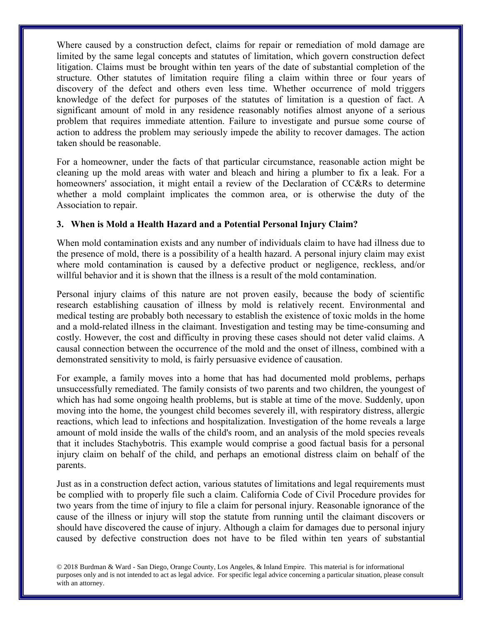Where caused by a construction defect, claims for repair or remediation of mold damage are limited by the same legal concepts and statutes of limitation, which govern construction defect litigation. Claims must be brought within ten years of the date of substantial completion of the structure. Other statutes of limitation require filing a claim within three or four years of discovery of the defect and others even less time. Whether occurrence of mold triggers knowledge of the defect for purposes of the statutes of limitation is a question of fact. A significant amount of mold in any residence reasonably notifies almost anyone of a serious problem that requires immediate attention. Failure to investigate and pursue some course of action to address the problem may seriously impede the ability to recover damages. The action taken should be reasonable.

For a homeowner, under the facts of that particular circumstance, reasonable action might be cleaning up the mold areas with water and bleach and hiring a plumber to fix a leak. For a homeowners' association, it might entail a review of the Declaration of CC&Rs to determine whether a mold complaint implicates the common area, or is otherwise the duty of the Association to repair.

#### **3. When is Mold a Health Hazard and a Potential Personal Injury Claim?**

When mold contamination exists and any number of individuals claim to have had illness due to the presence of mold, there is a possibility of a health hazard. A personal injury claim may exist where mold contamination is caused by a defective product or negligence, reckless, and/or willful behavior and it is shown that the illness is a result of the mold contamination.

Personal injury claims of this nature are not proven easily, because the body of scientific research establishing causation of illness by mold is relatively recent. Environmental and medical testing are probably both necessary to establish the existence of toxic molds in the home and a mold-related illness in the claimant. Investigation and testing may be time-consuming and costly. However, the cost and difficulty in proving these cases should not deter valid claims. A causal connection between the occurrence of the mold and the onset of illness, combined with a demonstrated sensitivity to mold, is fairly persuasive evidence of causation.

For example, a family moves into a home that has had documented mold problems, perhaps unsuccessfully remediated. The family consists of two parents and two children, the youngest of which has had some ongoing health problems, but is stable at time of the move. Suddenly, upon moving into the home, the youngest child becomes severely ill, with respiratory distress, allergic reactions, which lead to infections and hospitalization. Investigation of the home reveals a large amount of mold inside the walls of the child's room, and an analysis of the mold species reveals that it includes Stachybotris. This example would comprise a good factual basis for a personal injury claim on behalf of the child, and perhaps an emotional distress claim on behalf of the parents.

Just as in a construction defect action, various statutes of limitations and legal requirements must be complied with to properly file such a claim. California Code of Civil Procedure provides for two years from the time of injury to file a claim for personal injury. Reasonable ignorance of the cause of the illness or injury will stop the statute from running until the claimant discovers or should have discovered the cause of injury. Although a claim for damages due to personal injury caused by defective construction does not have to be filed within ten years of substantial

© 2018 Burdman & Ward - San Diego, Orange County, Los Angeles, & Inland Empire. This material is for informational purposes only and is not intended to act as legal advice. For specific legal advice concerning a particular situation, please consult with an attorney.